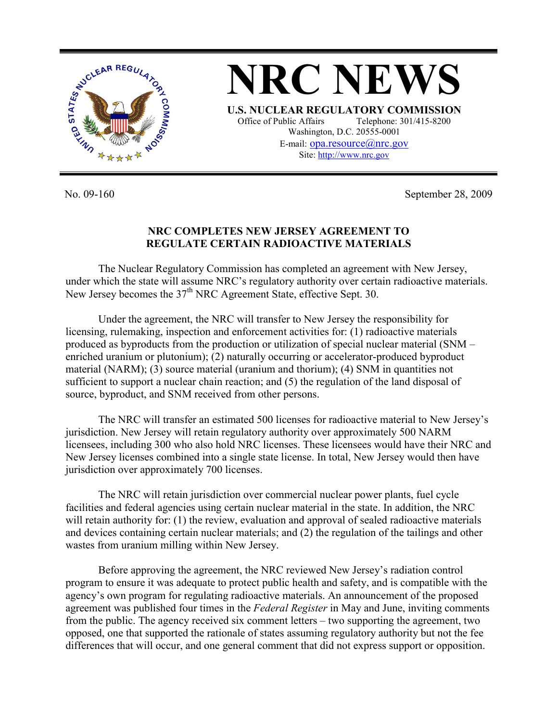

No. 09-160 September 28, 2009

## **NRC COMPLETES NEW JERSEY AGREEMENT TO REGULATE CERTAIN RADIOACTIVE MATERIALS**

The Nuclear Regulatory Commission has completed an agreement with New Jersey, under which the state will assume NRC's regulatory authority over certain radioactive materials. New Jersey becomes the 37<sup>th</sup> NRC Agreement State, effective Sept. 30.

Under the agreement, the NRC will transfer to New Jersey the responsibility for licensing, rulemaking, inspection and enforcement activities for: (1) radioactive materials produced as byproducts from the production or utilization of special nuclear material (SNM – enriched uranium or plutonium); (2) naturally occurring or accelerator-produced byproduct material (NARM); (3) source material (uranium and thorium); (4) SNM in quantities not sufficient to support a nuclear chain reaction; and (5) the regulation of the land disposal of source, byproduct, and SNM received from other persons.

The NRC will transfer an estimated 500 licenses for radioactive material to New Jersey's jurisdiction. New Jersey will retain regulatory authority over approximately 500 NARM licensees, including 300 who also hold NRC licenses. These licensees would have their NRC and New Jersey licenses combined into a single state license. In total, New Jersey would then have jurisdiction over approximately 700 licenses.

The NRC will retain jurisdiction over commercial nuclear power plants, fuel cycle facilities and federal agencies using certain nuclear material in the state. In addition, the NRC will retain authority for: (1) the review, evaluation and approval of sealed radioactive materials and devices containing certain nuclear materials; and (2) the regulation of the tailings and other wastes from uranium milling within New Jersey.

Before approving the agreement, the NRC reviewed New Jersey's radiation control program to ensure it was adequate to protect public health and safety, and is compatible with the agency's own program for regulating radioactive materials. An announcement of the proposed agreement was published four times in the *Federal Register* in May and June, inviting comments from the public. The agency received six comment letters – two supporting the agreement, two opposed, one that supported the rationale of states assuming regulatory authority but not the fee differences that will occur, and one general comment that did not express support or opposition.